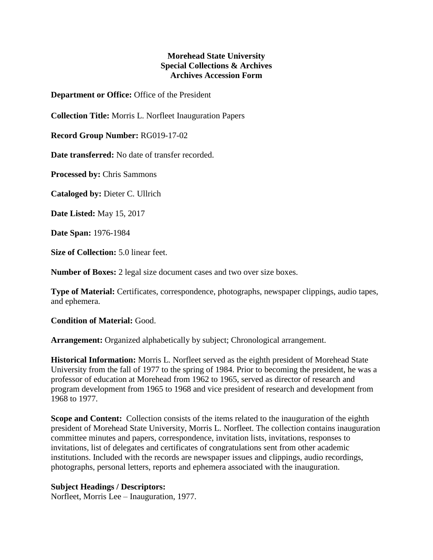## **Morehead State University Special Collections & Archives Archives Accession Form**

**Department or Office:** Office of the President

**Collection Title:** Morris L. Norfleet Inauguration Papers

**Record Group Number:** RG019-17-02

**Date transferred:** No date of transfer recorded.

**Processed by:** Chris Sammons

**Cataloged by:** Dieter C. Ullrich

**Date Listed:** May 15, 2017

**Date Span:** 1976-1984

**Size of Collection:** 5.0 linear feet.

**Number of Boxes:** 2 legal size document cases and two over size boxes.

**Type of Material:** Certificates, correspondence, photographs, newspaper clippings, audio tapes, and ephemera.

**Condition of Material:** Good.

**Arrangement:** Organized alphabetically by subject; Chronological arrangement.

**Historical Information:** Morris L. Norfleet served as the eighth president of Morehead State University from the fall of 1977 to the spring of 1984. Prior to becoming the president, he was a professor of education at Morehead from 1962 to 1965, served as director of research and program development from 1965 to 1968 and vice president of research and development from 1968 to 1977.

**Scope and Content:** Collection consists of the items related to the inauguration of the eighth president of Morehead State University, Morris L. Norfleet. The collection contains inauguration committee minutes and papers, correspondence, invitation lists, invitations, responses to invitations, list of delegates and certificates of congratulations sent from other academic institutions. Included with the records are newspaper issues and clippings, audio recordings, photographs, personal letters, reports and ephemera associated with the inauguration.

## **Subject Headings / Descriptors:**

Norfleet, Morris Lee – Inauguration, 1977.